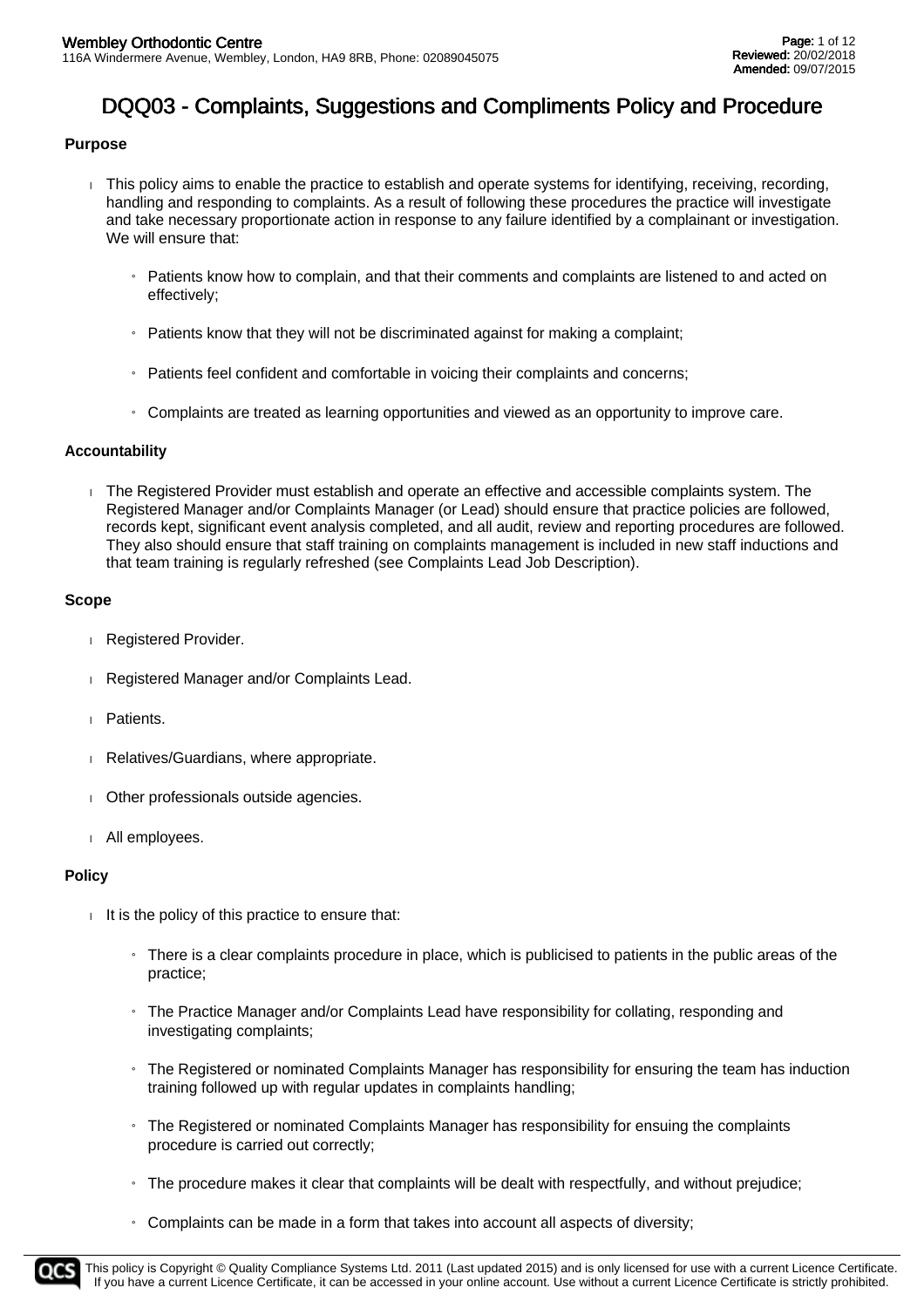### **Purpose**

- This policy aims to enable the practice to establish and operate systems for identifying, receiving, recording, handling and responding to complaints. As a result of following these procedures the practice will investigate and take necessary proportionate action in response to any failure identified by a complainant or investigation. We will ensure that:
	- $\mu$  Patients know how to complain, and that their comments and complaints are listened to and acted on effectively;
	- » Patients know that they will not be discriminated against for making a complaint;
	- » Patients feel confident and comfortable in voicing their complaints and concerns;
	- » Complaints are treated as learning opportunities and viewed as an opportunity to improve care.

#### **Accountability**

 The Registered Provider must establish and operate an effective and accessible complaints system. The Registered Manager and/or Complaints Manager (or Lead) should ensure that practice policies are followed, records kept, significant event analysis completed, and all audit, review and reporting procedures are followed. They also should ensure that staff training on complaints management is included in new staff inductions and that team training is regularly refreshed (see Complaints Lead Job Description).

#### **Scope**

- Registered Provider.
- Registered Manager and/or Complaints Lead.
- Patients.
- Relatives/Guardians, where appropriate.
- Other professionals outside agencies.
- All employees.

#### **Policy**

- $\parallel$  It is the policy of this practice to ensure that:
	- » There is a clear complaints procedure in place, which is publicised to patients in the public areas of the practice;
	- » The Practice Manager and/or Complaints Lead have responsibility for collating, responding and investigating complaints;
	- » The Registered or nominated Complaints Manager has responsibility for ensuring the team has induction training followed up with regular updates in complaints handling;
	- $\frac{1}{1}$  The Registered or nominated Complaints Manager has responsibility for ensuing the complaints procedure is carried out correctly;
	- » The procedure makes it clear that complaints will be dealt with respectfully, and without prejudice;
	- » Complaints can be made in a form that takes into account all aspects of diversity;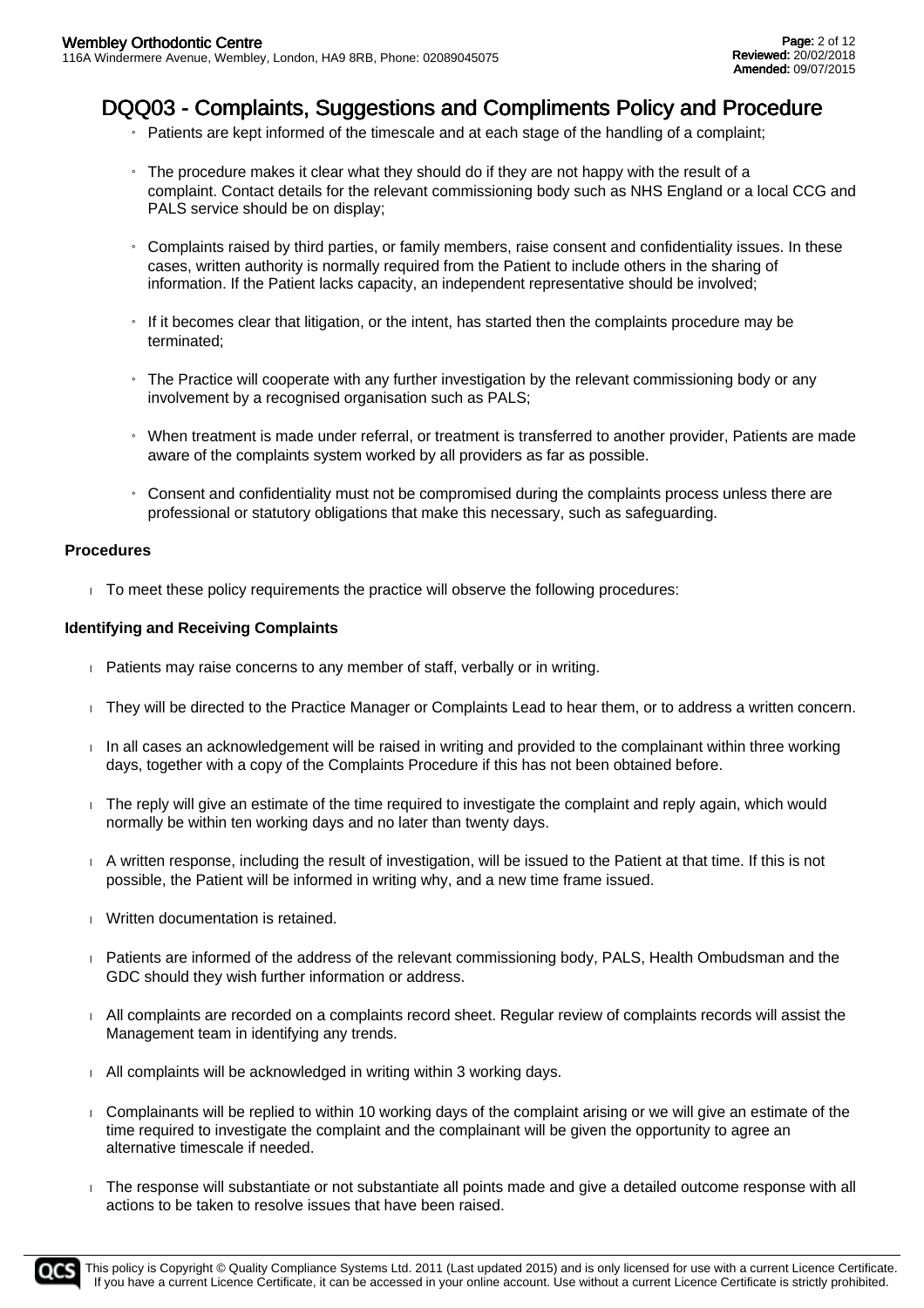- » Patients are kept informed of the timescale and at each stage of the handling of a complaint;
- $\frac{1}{1}$  The procedure makes it clear what they should do if they are not happy with the result of a complaint. Contact details for the relevant commissioning body such as NHS England or a local CCG and PALS service should be on display;
- » Complaints raised by third parties, or family members, raise consent and confidentiality issues. In these cases, written authority is normally required from the Patient to include others in the sharing of information. If the Patient lacks capacity, an independent representative should be involved;
- » If it becomes clear that litigation, or the intent, has started then the complaints procedure may be terminated;
- » The Practice will cooperate with any further investigation by the relevant commissioning body or any involvement by a recognised organisation such as PALS;
- » When treatment is made under referral, or treatment is transferred to another provider, Patients are made aware of the complaints system worked by all providers as far as possible.
- $\mu$  Consent and confidentiality must not be compromised during the complaints process unless there are professional or statutory obligations that make this necessary, such as safeguarding.

#### **Procedures**

 $\overline{\phantom{a}}$  To meet these policy requirements the practice will observe the following procedures:

#### **Identifying and Receiving Complaints**

- **Patients may raise concerns to any member of staff, verbally or in writing.**
- They will be directed to the Practice Manager or Complaints Lead to hear them, or to address a written concern.
- $\Box$  In all cases an acknowledgement will be raised in writing and provided to the complainant within three working days, together with a copy of the Complaints Procedure if this has not been obtained before.
- The reply will give an estimate of the time required to investigate the complaint and reply again, which would normally be within ten working days and no later than twenty days.
- A written response, including the result of investigation, will be issued to the Patient at that time. If this is not possible, the Patient will be informed in writing why, and a new time frame issued.
- **Written documentation is retained.**
- Patients are informed of the address of the relevant commissioning body, PALS, Health Ombudsman and the GDC should they wish further information or address.
- All complaints are recorded on a complaints record sheet. Regular review of complaints records will assist the Management team in identifying any trends.
- All complaints will be acknowledged in writing within 3 working days.
- Complainants will be replied to within 10 working days of the complaint arising or we will give an estimate of the time required to investigate the complaint and the complainant will be given the opportunity to agree an alternative timescale if needed.
- The response will substantiate or not substantiate all points made and give a detailed outcome response with all actions to be taken to resolve issues that have been raised.

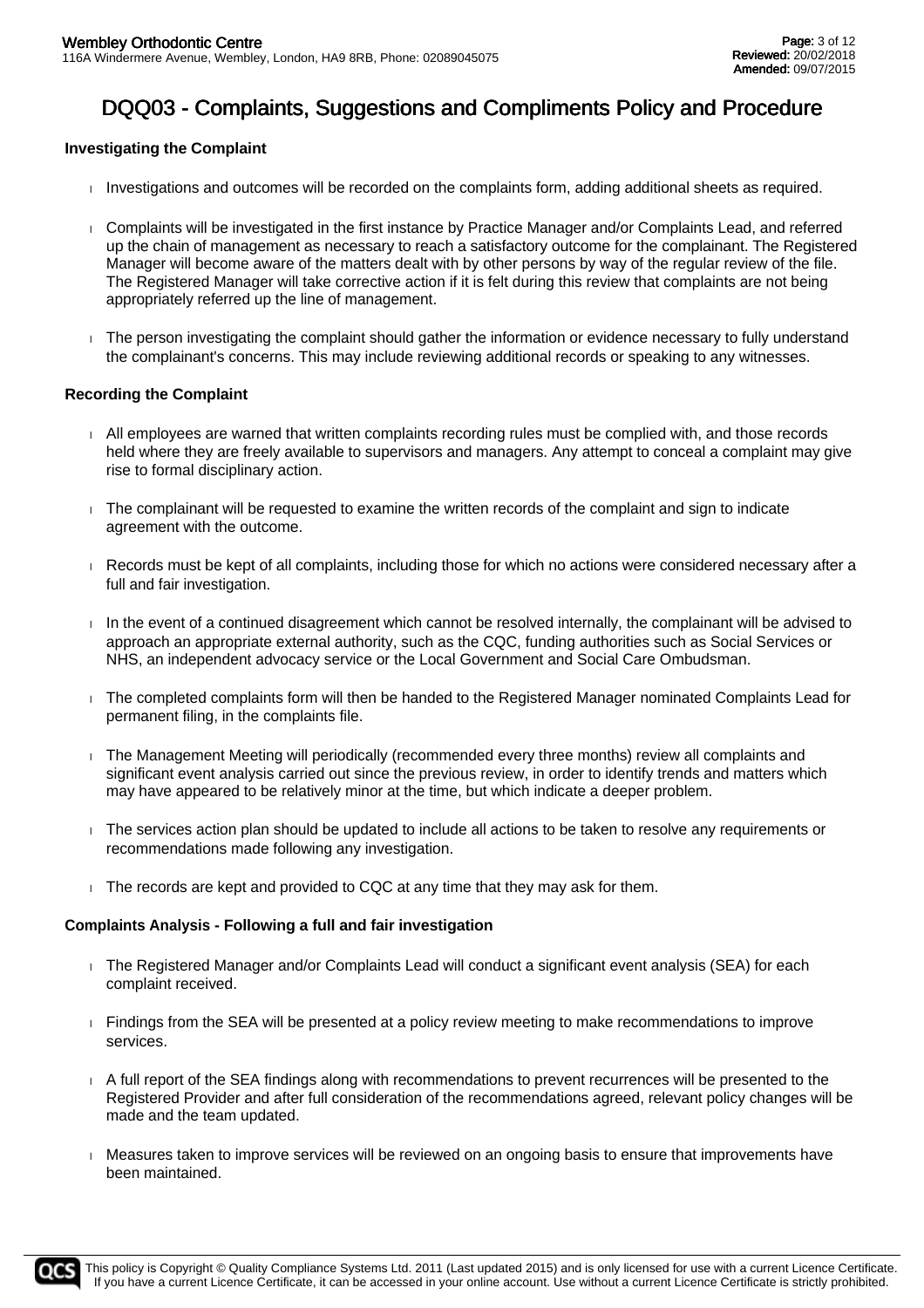### **Investigating the Complaint**

- $\Box$  Investigations and outcomes will be recorded on the complaints form, adding additional sheets as required.
- Complaints will be investigated in the first instance by Practice Manager and/or Complaints Lead, and referred up the chain of management as necessary to reach a satisfactory outcome for the complainant. The Registered Manager will become aware of the matters dealt with by other persons by way of the regular review of the file. The Registered Manager will take corrective action if it is felt during this review that complaints are not being appropriately referred up the line of management.
- The person investigating the complaint should gather the information or evidence necessary to fully understand the complainant's concerns. This may include reviewing additional records or speaking to any witnesses.

#### **Recording the Complaint**

- All employees are warned that written complaints recording rules must be complied with, and those records held where they are freely available to supervisors and managers. Any attempt to conceal a complaint may give rise to formal disciplinary action.
- $\Box$  The complainant will be requested to examine the written records of the complaint and sign to indicate agreement with the outcome.
- Records must be kept of all complaints, including those for which no actions were considered necessary after a full and fair investigation.
- In the event of a continued disagreement which cannot be resolved internally, the complainant will be advised to approach an appropriate external authority, such as the CQC, funding authorities such as Social Services or NHS, an independent advocacy service or the Local Government and Social Care Ombudsman.
- The completed complaints form will then be handed to the Registered Manager nominated Complaints Lead for permanent filing, in the complaints file.
- The Management Meeting will periodically (recommended every three months) review all complaints and significant event analysis carried out since the previous review, in order to identify trends and matters which may have appeared to be relatively minor at the time, but which indicate a deeper problem.
- The services action plan should be updated to include all actions to be taken to resolve any requirements or recommendations made following any investigation.
- $\Box$  The records are kept and provided to CQC at any time that they may ask for them.

#### **Complaints Analysis - Following a full and fair investigation**

- The Registered Manager and/or Complaints Lead will conduct a significant event analysis (SEA) for each complaint received.
- Findings from the SEA will be presented at a policy review meeting to make recommendations to improve services.
- A full report of the SEA findings along with recommendations to prevent recurrences will be presented to the Registered Provider and after full consideration of the recommendations agreed, relevant policy changes will be made and the team updated.
- Measures taken to improve services will be reviewed on an ongoing basis to ensure that improvements have been maintained.

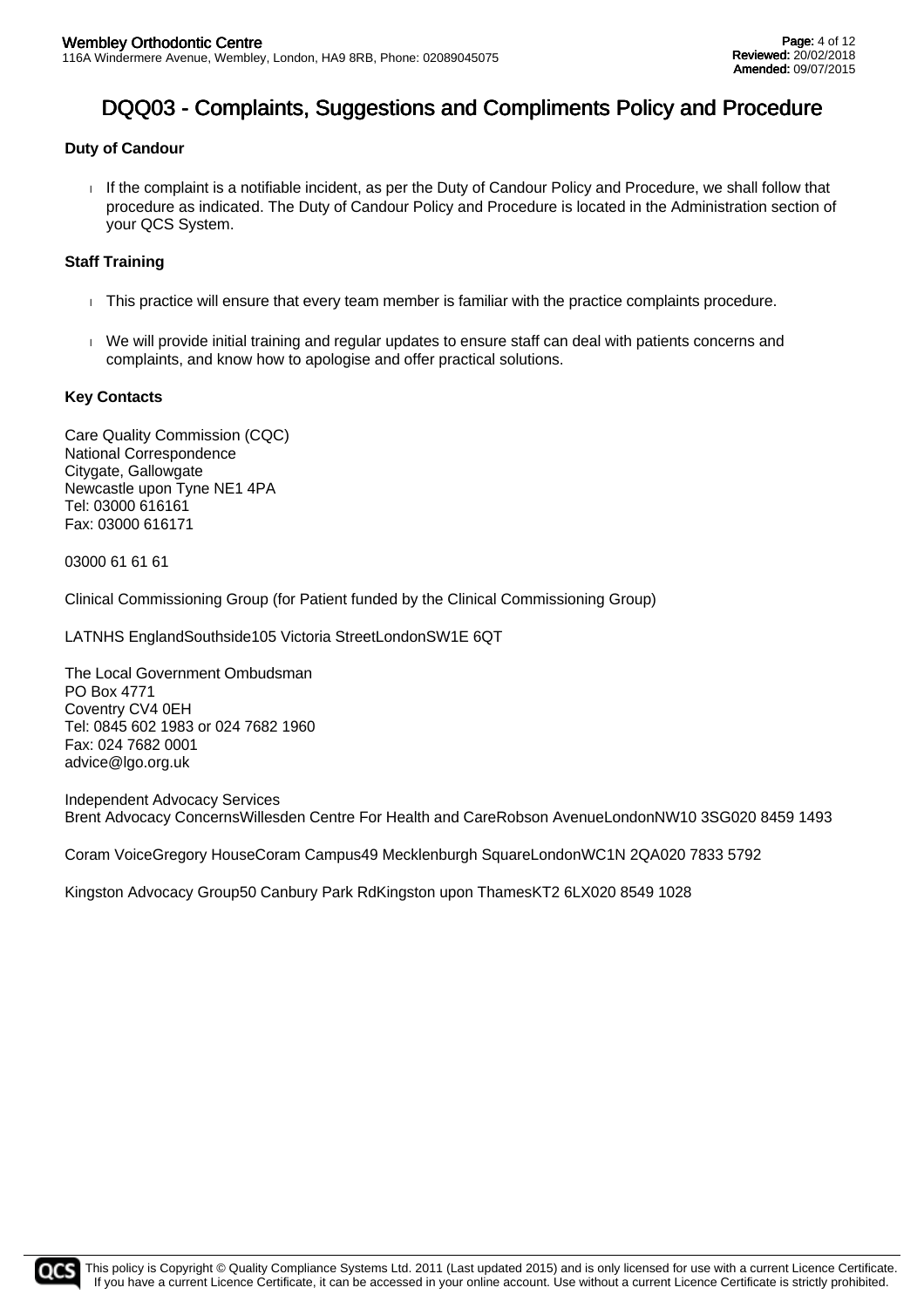### **Duty of Candour**

If the complaint is a notifiable incident, as per the Duty of Candour Policy and Procedure, we shall follow that procedure as indicated. The Duty of Candour Policy and Procedure is located in the Administration section of your QCS System.

### **Staff Training**

- This practice will ensure that every team member is familiar with the practice complaints procedure.
- We will provide initial training and regular updates to ensure staff can deal with patients concerns and complaints, and know how to apologise and offer practical solutions.

### **Key Contacts**

Care Quality Commission (CQC) National Correspondence Citygate, Gallowgate Newcastle upon Tyne NE1 4PA Tel: 03000 616161 Fax: 03000 616171

03000 61 61 61

Clinical Commissioning Group (for Patient funded by the Clinical Commissioning Group)

LATNHS EnglandSouthside105 Victoria StreetLondonSW1E 6QT

The Local Government Ombudsman PO Box 4771 Coventry CV4 0EH Tel: 0845 602 1983 or 024 7682 1960 Fax: 024 7682 0001 advice@lgo.org.uk

Independent Advocacy Services Brent Advocacy ConcernsWillesden Centre For Health and CareRobson AvenueLondonNW10 3SG020 8459 1493

Coram VoiceGregory HouseCoram Campus49 Mecklenburgh SquareLondonWC1N 2QA020 7833 5792

Kingston Advocacy Group50 Canbury Park RdKingston upon ThamesKT2 6LX020 8549 1028

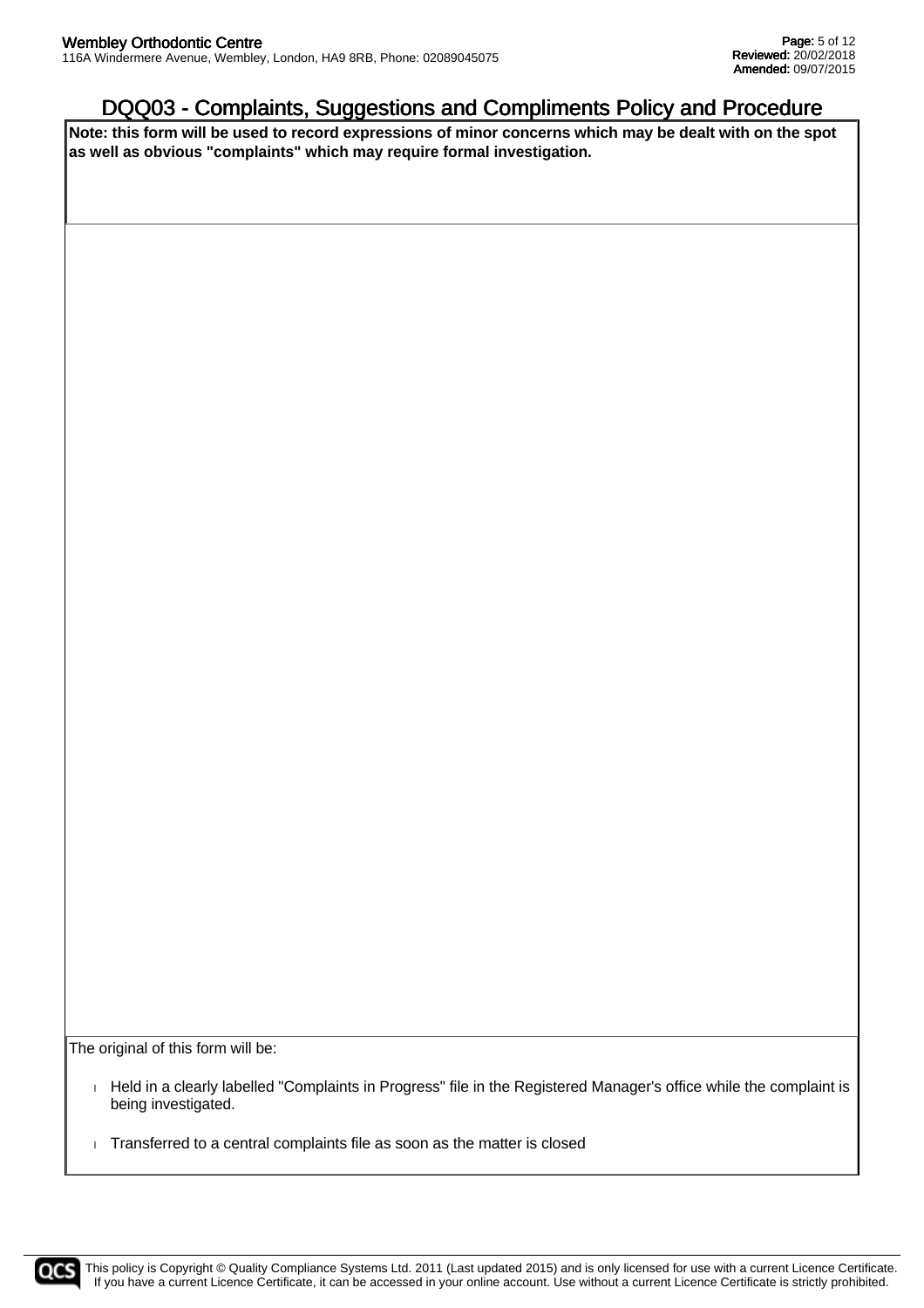**Note: this form will be used to record expressions of minor concerns which may be dealt with on the spot as well as obvious "complaints" which may require formal investigation.**

The original of this form will be:

- Held in a clearly labelled "Complaints in Progress" file in the Registered Manager's office while the complaint is being investigated.
- Transferred to a central complaints file as soon as the matter is closed

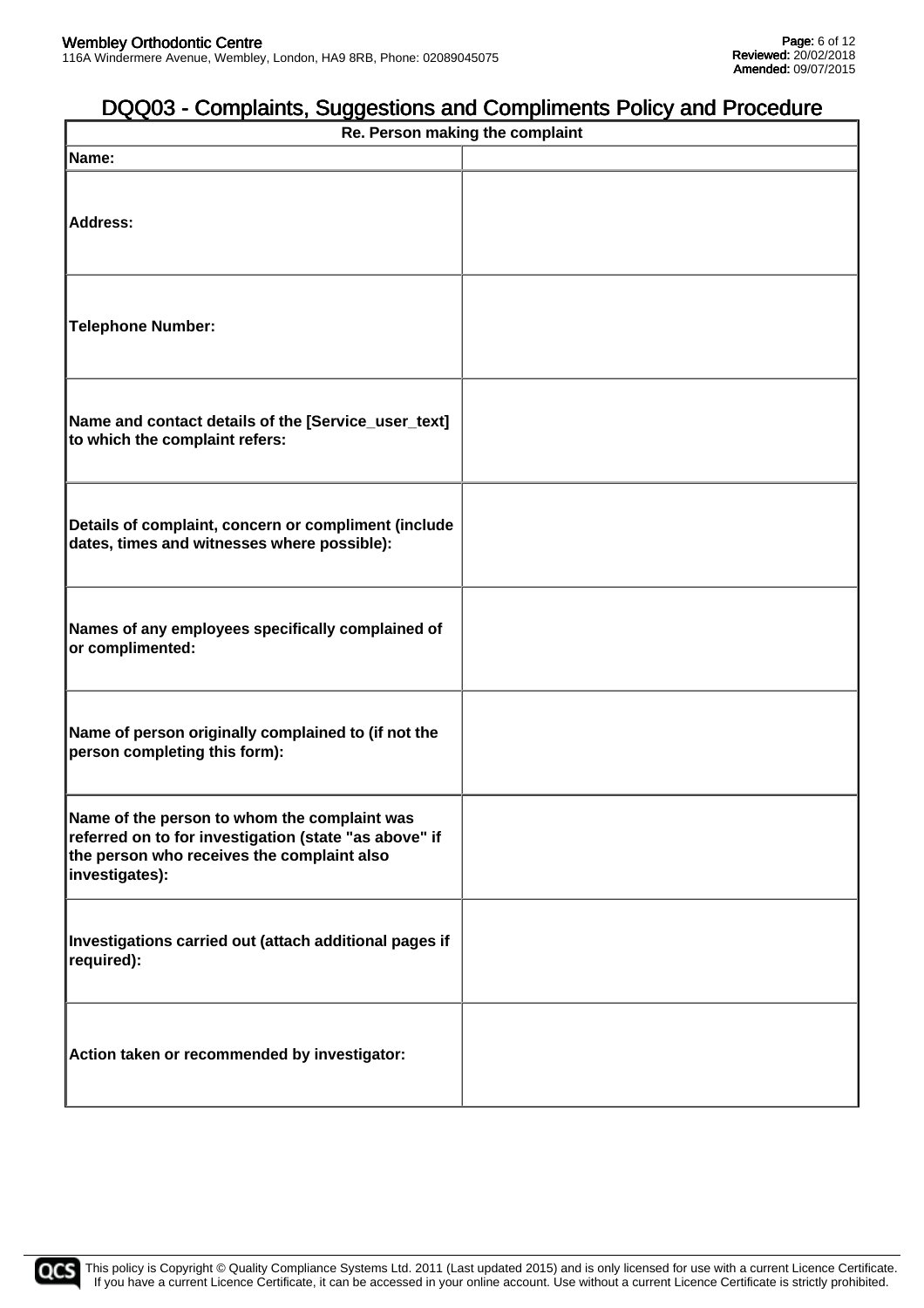| Re. Person making the complaint                                                                                                                                       |  |  |  |  |
|-----------------------------------------------------------------------------------------------------------------------------------------------------------------------|--|--|--|--|
| Name:                                                                                                                                                                 |  |  |  |  |
| Address:                                                                                                                                                              |  |  |  |  |
| <b>Telephone Number:</b>                                                                                                                                              |  |  |  |  |
| Name and contact details of the [Service_user_text]<br>to which the complaint refers:                                                                                 |  |  |  |  |
| Details of complaint, concern or compliment (include<br>dates, times and witnesses where possible):                                                                   |  |  |  |  |
| Names of any employees specifically complained of<br>or complimented:                                                                                                 |  |  |  |  |
| Name of person originally complained to (if not the<br>person completing this form):                                                                                  |  |  |  |  |
| Name of the person to whom the complaint was<br>referred on to for investigation (state "as above" if<br>the person who receives the complaint also<br>investigates): |  |  |  |  |
| Investigations carried out (attach additional pages if<br>required):                                                                                                  |  |  |  |  |
| Action taken or recommended by investigator:                                                                                                                          |  |  |  |  |

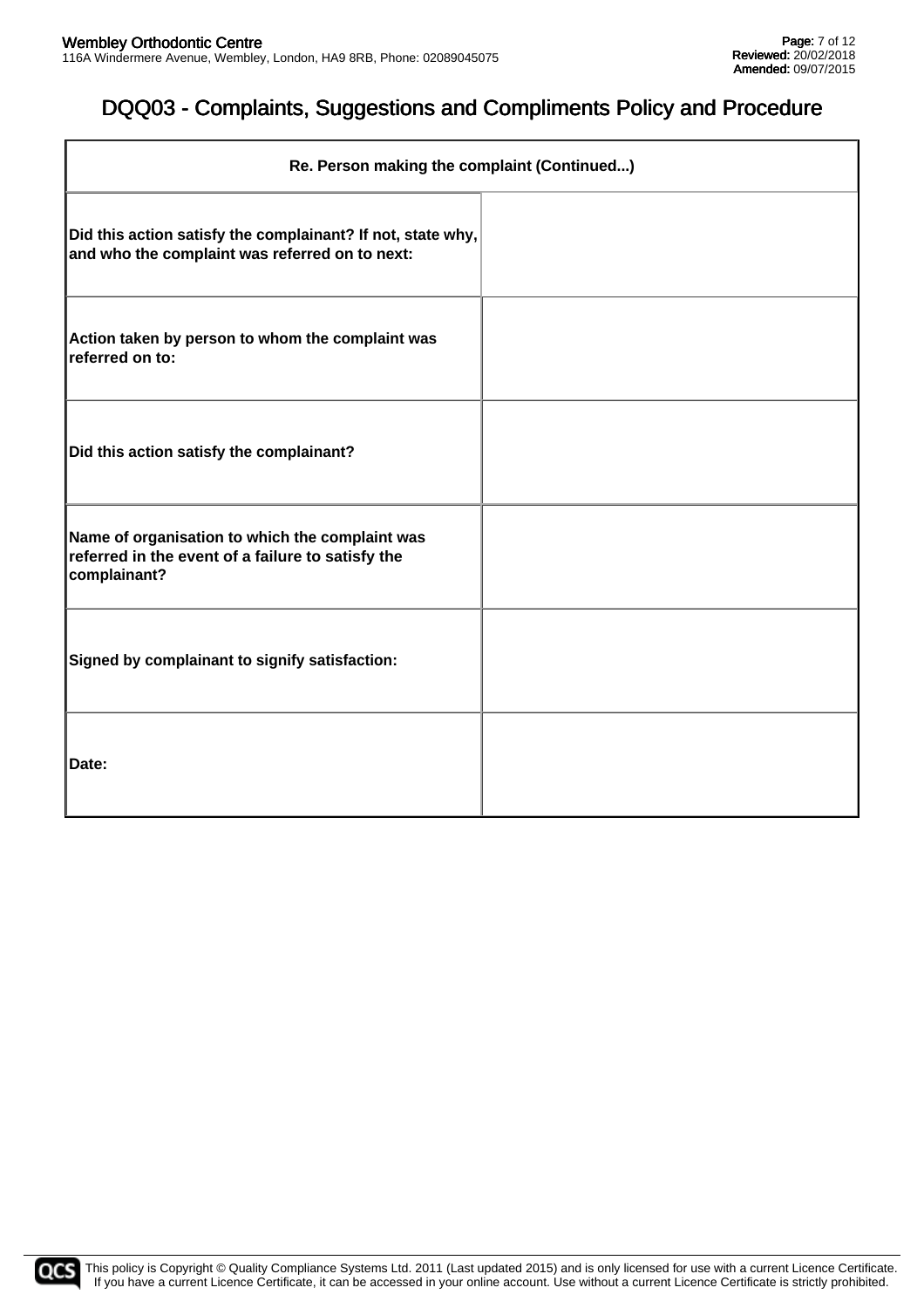| Re. Person making the complaint (Continued)                                                                          |  |  |  |
|----------------------------------------------------------------------------------------------------------------------|--|--|--|
| Did this action satisfy the complainant? If not, state why,<br>and who the complaint was referred on to next:        |  |  |  |
| Action taken by person to whom the complaint was<br>referred on to:                                                  |  |  |  |
| Did this action satisfy the complainant?                                                                             |  |  |  |
| Name of organisation to which the complaint was<br>referred in the event of a failure to satisfy the<br>complainant? |  |  |  |
| Signed by complainant to signify satisfaction:                                                                       |  |  |  |
| Date:                                                                                                                |  |  |  |

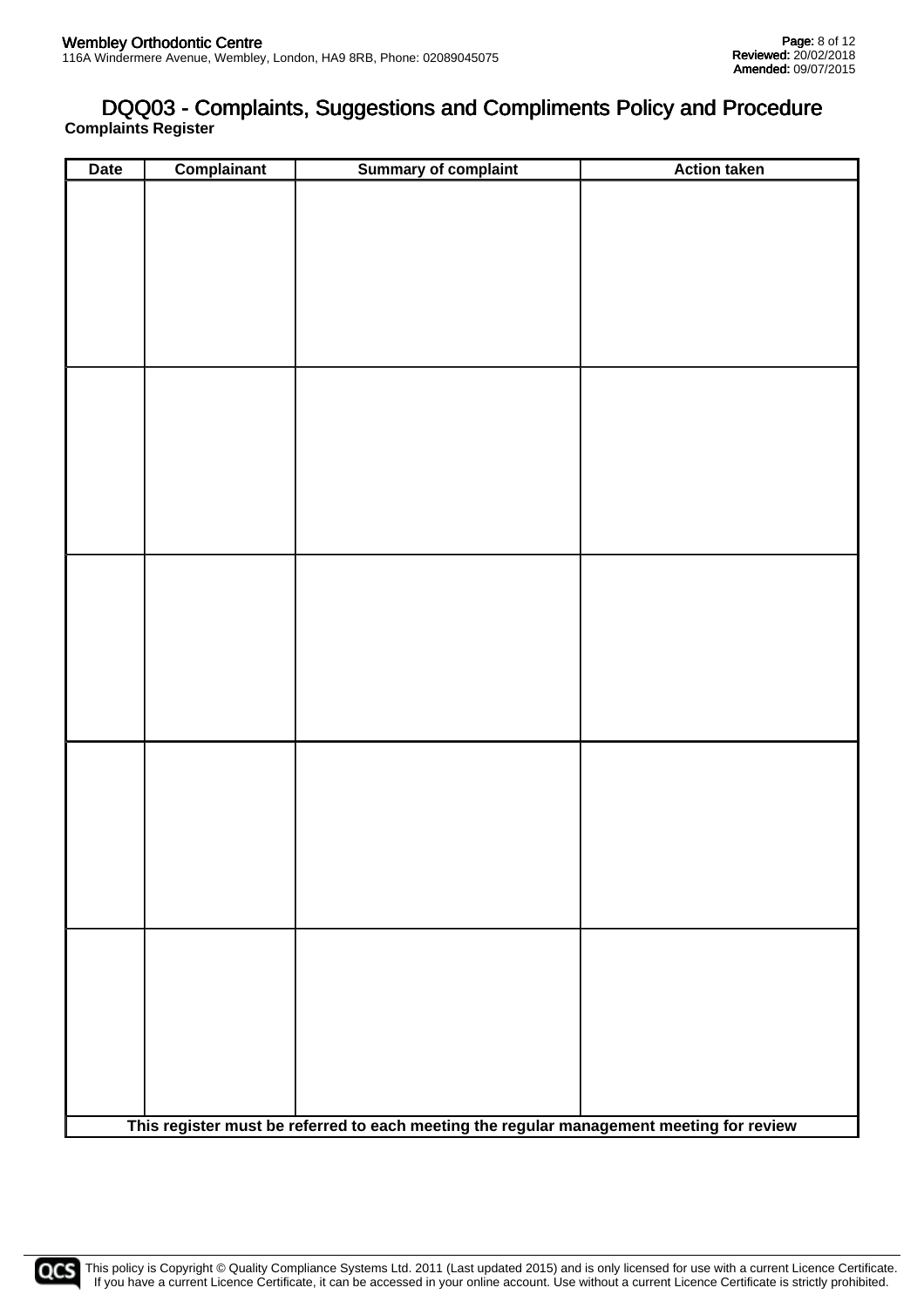### **Complaints Register** DQQ03 - Complaints, Suggestions and Compliments Policy and Procedure

| <b>Date</b> | <b>Complainant</b> | <b>Summary of complaint</b>                                                              | <b>Action taken</b> |
|-------------|--------------------|------------------------------------------------------------------------------------------|---------------------|
|             |                    |                                                                                          |                     |
|             |                    |                                                                                          |                     |
|             |                    |                                                                                          |                     |
|             |                    |                                                                                          |                     |
|             |                    |                                                                                          |                     |
|             |                    |                                                                                          |                     |
|             |                    |                                                                                          |                     |
|             |                    |                                                                                          |                     |
|             |                    |                                                                                          |                     |
|             |                    |                                                                                          |                     |
|             |                    |                                                                                          |                     |
|             |                    |                                                                                          |                     |
|             |                    |                                                                                          |                     |
|             |                    |                                                                                          |                     |
|             |                    |                                                                                          |                     |
|             |                    |                                                                                          |                     |
|             |                    |                                                                                          |                     |
|             |                    |                                                                                          |                     |
|             |                    |                                                                                          |                     |
|             |                    |                                                                                          |                     |
|             |                    |                                                                                          |                     |
|             |                    |                                                                                          |                     |
|             |                    |                                                                                          |                     |
|             |                    |                                                                                          |                     |
|             |                    |                                                                                          |                     |
|             |                    |                                                                                          |                     |
|             |                    |                                                                                          |                     |
|             |                    |                                                                                          |                     |
|             |                    |                                                                                          |                     |
|             |                    |                                                                                          |                     |
|             |                    |                                                                                          |                     |
|             |                    |                                                                                          |                     |
|             |                    |                                                                                          |                     |
|             |                    |                                                                                          |                     |
|             |                    |                                                                                          |                     |
|             |                    |                                                                                          |                     |
|             |                    |                                                                                          |                     |
|             |                    |                                                                                          |                     |
|             |                    | This register must be referred to each meeting the regular management meeting for review |                     |

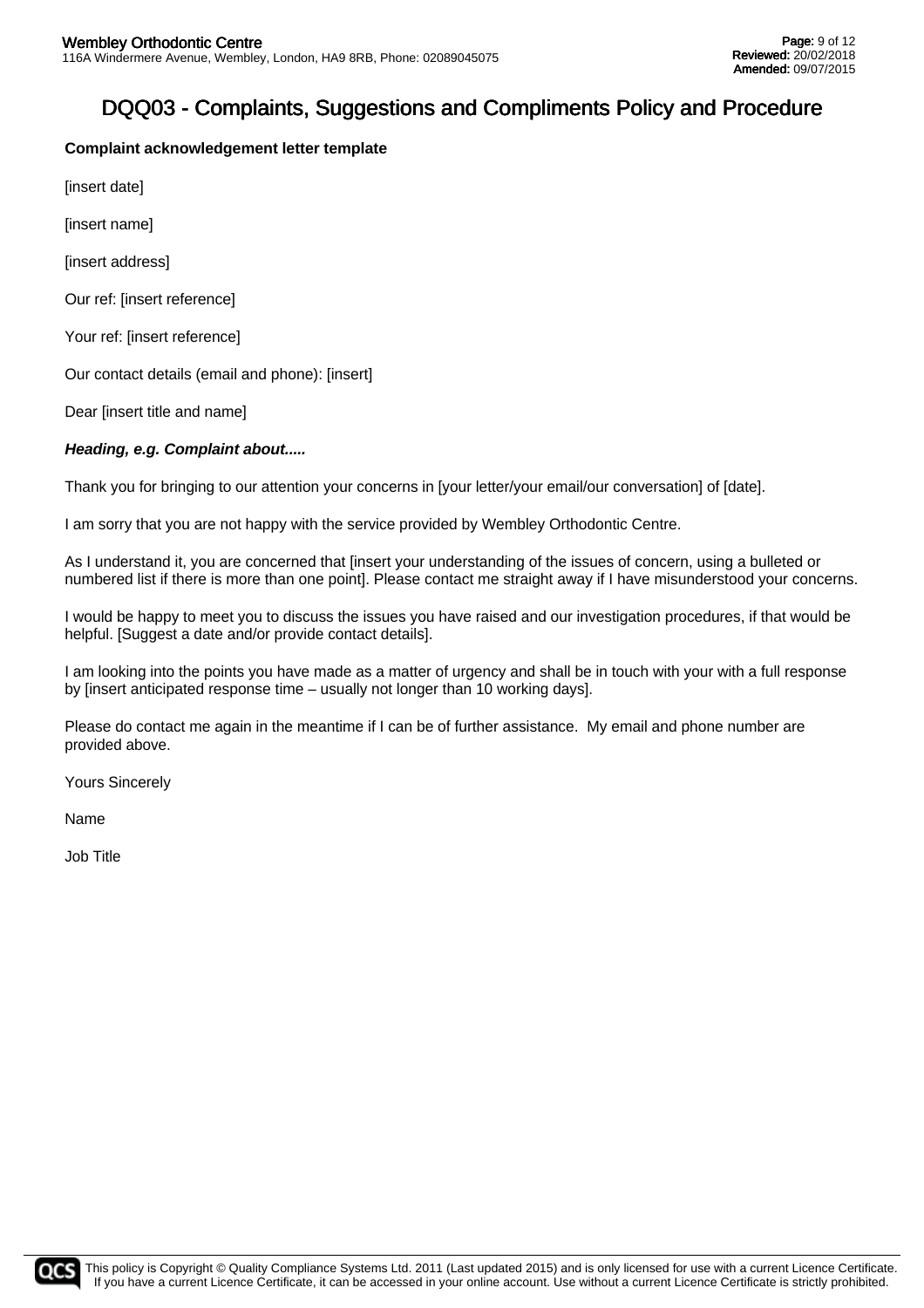### **Complaint acknowledgement letter template**

[insert date]

[insert name]

[insert address]

Our ref: [insert reference]

Your ref: [insert reference]

Our contact details (email and phone): [insert]

Dear [insert title and name]

### **Heading, e.g. Complaint about.....**

Thank you for bringing to our attention your concerns in [your letter/your email/our conversation] of [date].

I am sorry that you are not happy with the service provided by Wembley Orthodontic Centre.

As I understand it, you are concerned that [insert your understanding of the issues of concern, using a bulleted or numbered list if there is more than one point]. Please contact me straight away if I have misunderstood your concerns.

I would be happy to meet you to discuss the issues you have raised and our investigation procedures, if that would be helpful. [Suggest a date and/or provide contact details].

I am looking into the points you have made as a matter of urgency and shall be in touch with your with a full response by [insert anticipated response time – usually not longer than 10 working days].

Please do contact me again in the meantime if I can be of further assistance. My email and phone number are provided above.

Yours Sincerely

Name

Job Title

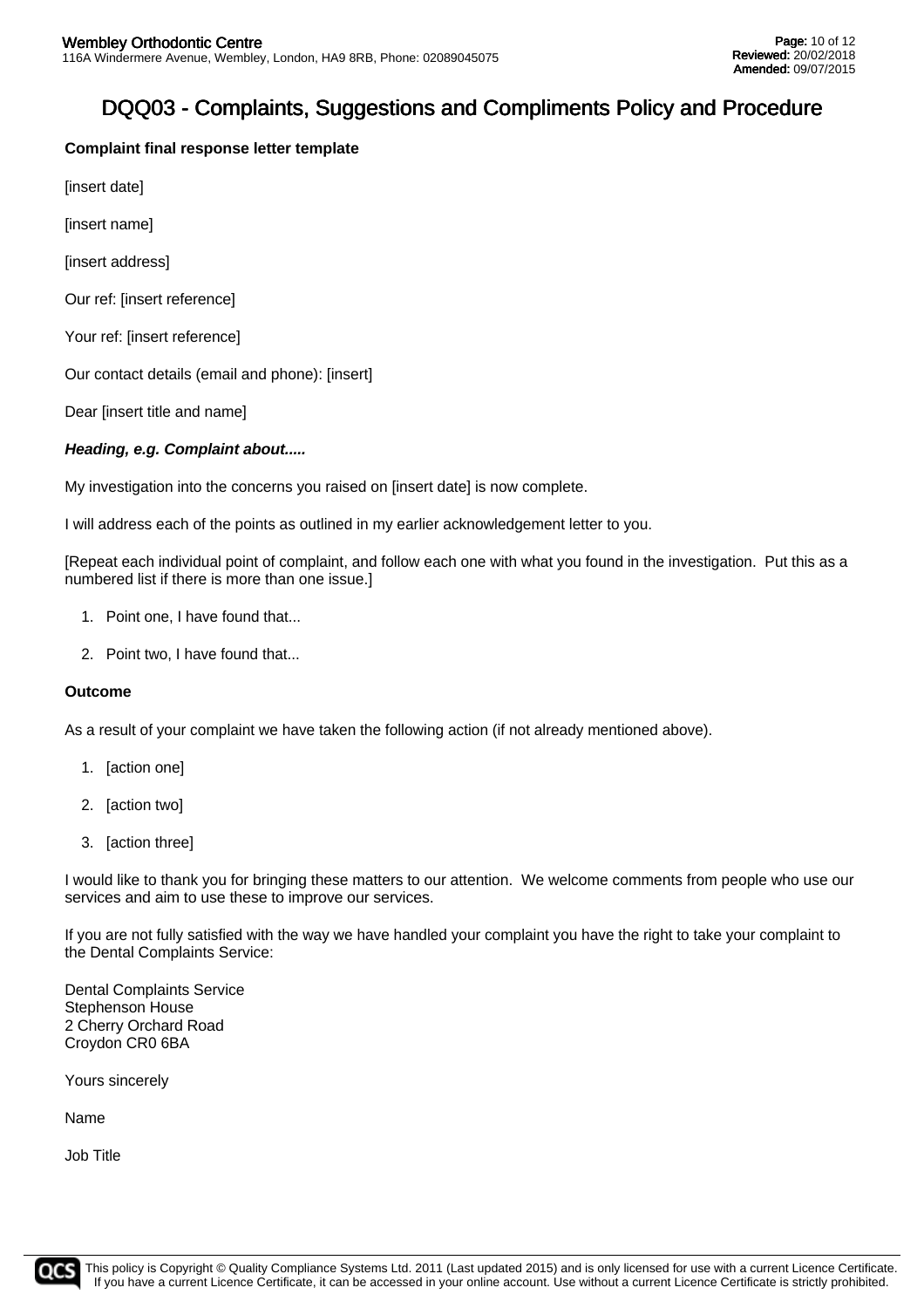### **Complaint final response letter template**

[insert date]

[insert name]

[insert address]

Our ref: [insert reference]

Your ref: [insert reference]

Our contact details (email and phone): [insert]

Dear [insert title and name]

### **Heading, e.g. Complaint about.....**

My investigation into the concerns you raised on linsert datel is now complete.

I will address each of the points as outlined in my earlier acknowledgement letter to you.

[Repeat each individual point of complaint, and follow each one with what you found in the investigation. Put this as a numbered list if there is more than one issue.]

- 1. Point one, I have found that...
- 2. Point two, I have found that...

#### **Outcome**

As a result of your complaint we have taken the following action (if not already mentioned above).

- 1. [action one]
- 2. [action two]
- 3. [action three]

I would like to thank you for bringing these matters to our attention. We welcome comments from people who use our services and aim to use these to improve our services.

If you are not fully satisfied with the way we have handled your complaint you have the right to take your complaint to the Dental Complaints Service:

Dental Complaints Service Stephenson House 2 Cherry Orchard Road Croydon CR0 6BA

Yours sincerely

Name

Job Title

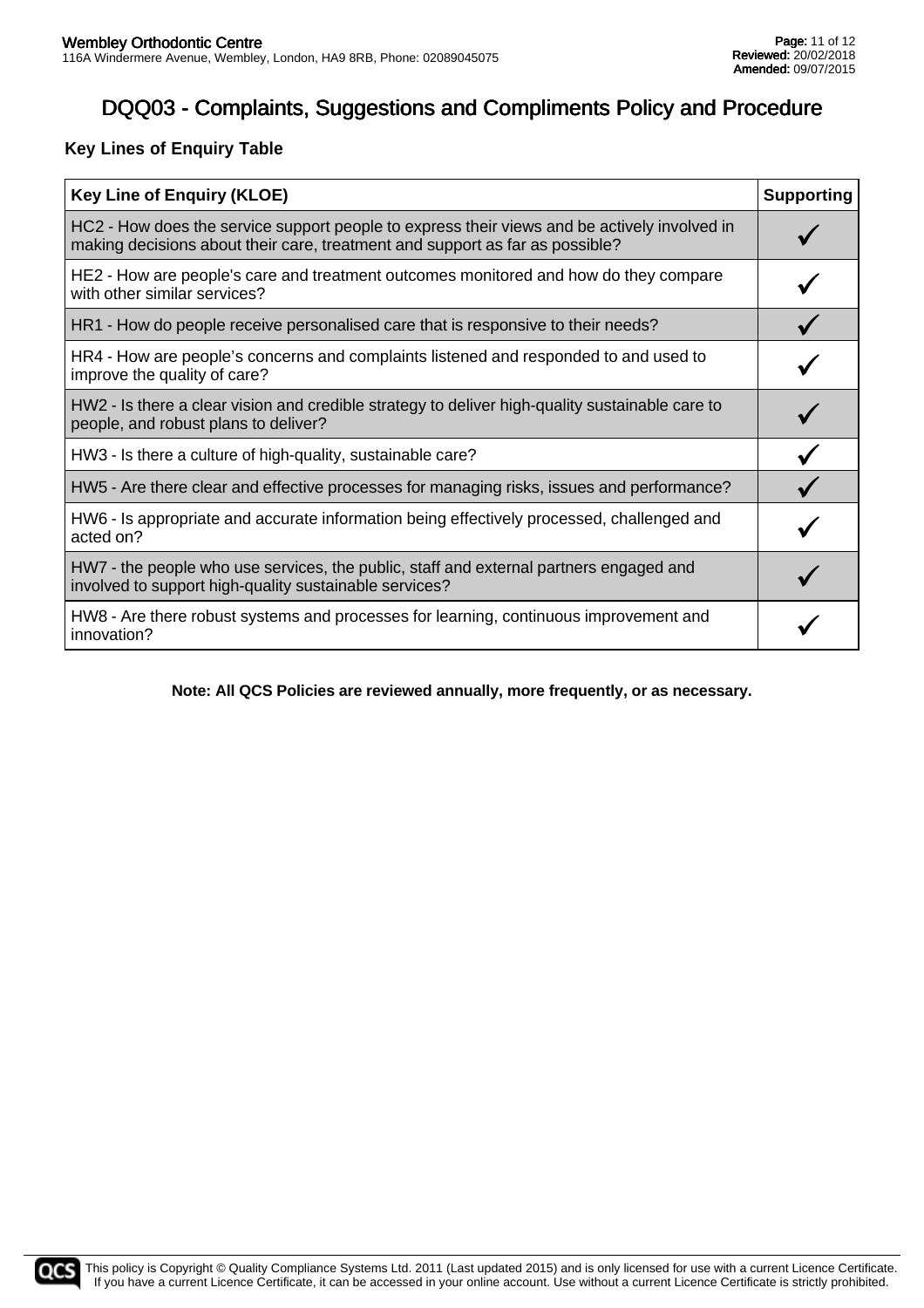### **Key Lines of Enquiry Table**

| <b>Key Line of Enquiry (KLOE)</b>                                                                                                                                            |  |
|------------------------------------------------------------------------------------------------------------------------------------------------------------------------------|--|
| HC2 - How does the service support people to express their views and be actively involved in<br>making decisions about their care, treatment and support as far as possible? |  |
| HE2 - How are people's care and treatment outcomes monitored and how do they compare<br>with other similar services?                                                         |  |
| HR1 - How do people receive personalised care that is responsive to their needs?                                                                                             |  |
| HR4 - How are people's concerns and complaints listened and responded to and used to<br>improve the quality of care?                                                         |  |
| HW2 - Is there a clear vision and credible strategy to deliver high-quality sustainable care to<br>people, and robust plans to deliver?                                      |  |
| HW3 - Is there a culture of high-quality, sustainable care?                                                                                                                  |  |
| HW5 - Are there clear and effective processes for managing risks, issues and performance?                                                                                    |  |
| HW6 - Is appropriate and accurate information being effectively processed, challenged and<br>acted on?                                                                       |  |
| HW7 - the people who use services, the public, staff and external partners engaged and<br>involved to support high-quality sustainable services?                             |  |
| HW8 - Are there robust systems and processes for learning, continuous improvement and<br>innovation?                                                                         |  |

**Note: All QCS Policies are reviewed annually, more frequently, or as necessary.**